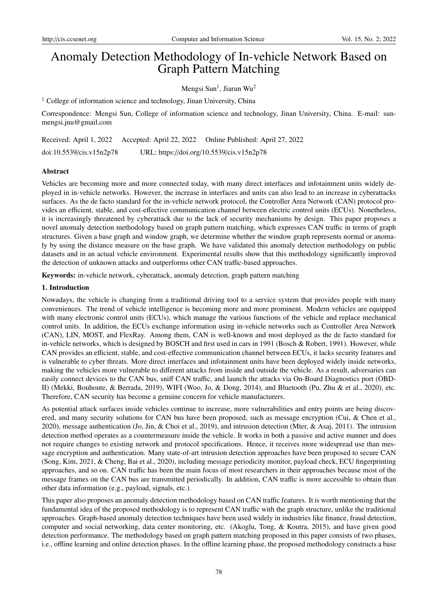# Anomaly Detection Methodology of In-vehicle Network Based on Graph Pattern Matching

Mengsi Sun<sup>1</sup>, Jiarun Wu<sup>2</sup>

<sup>1</sup> College of information science and technology, Jinan University, China

Correspondence: Mengsi Sun, College of information science and technology, Jinan University, China. E-mail: sunmengsi.jnu@gmail.com

Received: April 1, 2022 Accepted: April 22, 2022 Online Published: April 27, 2022 doi:10.5539/cis.v15n2p78 URL: https://doi.org/10.5539/cis.v15n2p78

## Abstract

Vehicles are becoming more and more connected today, with many direct interfaces and infotainment units widely deployed in in-vehicle networks. However, the increase in interfaces and units can also lead to an increase in cyberattacks surfaces. As the de facto standard for the in-vehicle network protocol, the Controller Area Network (CAN) protocol provides an efficient, stable, and cost-effective communication channel between electric control units (ECUs). Nonetheless, it is increasingly threatened by cyberattack due to the lack of security mechanisms by design. This paper proposes a novel anomaly detection methodology based on graph pattern matching, which expresses CAN traffic in terms of graph structures. Given a base graph and window graph, we determine whether the window graph represents normal or anomaly by using the distance measure on the base graph. We have validated this anomaly detection methodology on public datasets and in an actual vehicle environment. Experimental results show that this methodology significantly improved the detection of unknown attacks and outperforms other CAN traffic-based approaches.

Keywords: in-vehicle network, cyberattack, anomaly detection, graph pattern matching

## 1. Introduction

Nowadays, the vehicle is changing from a traditional driving tool to a service system that provides people with many conveniences. The trend of vehicle intelligence is becoming more and more prominent. Modern vehicles are equipped with many electronic control units (ECUs), which manage the various functions of the vehicle and replace mechanical control units. In addition, the ECUs exchange information using in-vehicle networks such as Controller Area Network (CAN), LIN, MOST, and FlexRay. Among them, CAN is well-known and most deployed as the de facto standard for in-vehicle networks, which is designed by BOSCH and first used in cars in 1991 (Bosch & Robert, 1991). However, while CAN provides an efficient, stable, and cost-effective communication channel between ECUs, it lacks security features and is vulnerable to cyber threats. More direct interfaces and infotainment units have been deployed widely inside networks, making the vehicles more vulnerable to different attacks from inside and outside the vehicle. As a result, adversaries can easily connect devices to the CAN bus, sniff CAN traffic, and launch the attacks via On-Board Diagnostics port (OBD-II) (Mekki, Bouhoute, & Berrada, 2019), WIFI (Woo, Jo, & Dong, 2014), and Bluetooth (Pu, Zhu & et al., 2020), etc. Therefore, CAN security has become a genuine concern for vehicle manufacturers.

As potential attack surfaces inside vehicles continue to increase, more vulnerabilities and entry points are being discovered, and many security solutions for CAN bus have been proposed, such as message encryption (Cui, & Chen et al., 2020), message authentication (Jo, Jin, & Choi et al., 2019), and intrusion detection (Mter, & Asaj, 2011). The intrusion detection method operates as a countermeasure inside the vehicle. It works in both a passive and active manner and does not require changes to existing network and protocol specifications. Hence, it receives more widespread use than message encryption and authentication. Many state-of-art intrusion detection approaches have been proposed to secure CAN (Song, Kim, 2021, & Cheng, Bai et al., 2020), including message periodicity monitor, payload check, ECU fingerprinting approaches, and so on. CAN traffic has been the main focus of most researchers in their approaches because most of the message frames on the CAN bus are transmitted periodically. In addition, CAN traffic is more accessible to obtain than other data information (e.g., payload, signals, etc.).

This paper also proposes an anomaly detection methodology based on CAN traffic features. It is worth mentioning that the fundamental idea of the proposed methodology is to represent CAN traffic with the graph structure, unlike the traditional approaches. Graph-based anomaly detection techniques have been used widely in industries like finance, fraud detection, computer and social networking, data center monitoring, etc. (Akoglu, Tong, & Koutra, 2015), and have given good detection performance. The methodology based on graph pattern matching proposed in this paper consists of two phases, i.e., offline learning and online detection phases. In the offline learning phase, the proposed methodology constructs a base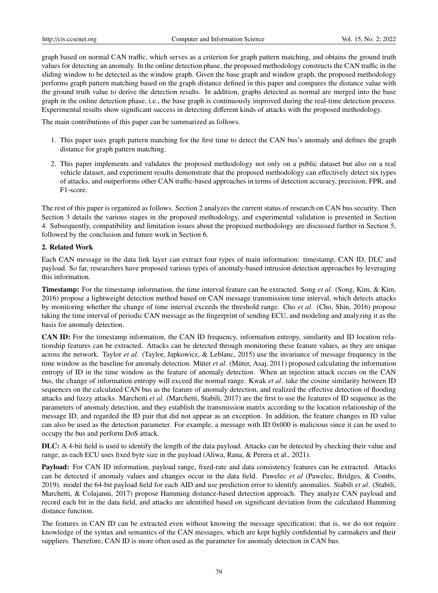graph based on normal CAN traffic, which serves as a criterion for graph pattern matching, and obtains the ground truth values for detecting an anomaly. In the online detection phase, the proposed methodology constructs the CAN traffic in the sliding window to be detected as the window graph. Given the base graph and window graph, the proposed methodology performs graph pattern matching based on the graph distance defined in this paper and compares the distance value with the ground truth value to derive the detection results. In addition, graphs detected as normal are merged into the base graph in the online detection phase, i.e., the base graph is continuously improved during the real-time detection process. Experimental results show significant success in detecting different kinds of attacks with the proposed methodology.

The main contributions of this paper can be summarized as follows.

- 1. This paper uses graph pattern matching for the first time to detect the CAN bus's anomaly and defines the graph distance for graph pattern matching.
- 2. This paper implements and validates the proposed methodology not only on a public dataset but also on a real vehicle dataset, and experiment results demonstrate that the proposed methodology can effectively detect six types of attacks, and outperforms other CAN traffic-based approaches in terms of detection accuracy, precision, FPR, and F1-score.

The rest of this paper is organized as follows. Section 2 analyzes the current status of research on CAN bus security. Then Section 3 details the various stages in the proposed methodology, and experimental validation is presented in Section 4. Subsequently, compatibility and limitation issues about the proposed methodology are discussed further in Section 5, followed by the conclusion and future work in Section 6.

## 2. Related Work

Each CAN message in the data link layer can extract four types of main information: timestamp, CAN ID, DLC and payload. So far, researchers have proposed various types of anomaly-based intrusion detection approaches by leveraging this information.

Timestamp: For the timestamp information, the time interval feature can be extracted. Song *et al*. (Song, Kim, & Kim, 2016) propose a lightweight detection method based on CAN message transmission time interval, which detects attacks by monitoring whether the change of time interval exceeds the threshold range. Cho *et al*. (Cho, Shin, 2016) propose taking the time interval of periodic CAN message as the fingerprint of sending ECU, and modeling and analyzing it as the basis for anomaly detection.

CAN ID: For the timestamp information, the CAN ID frequency, information entropy, similarity and ID location relationship features can be extracted. Attacks can be detected through monitoring these feature values, as they are unique across the network. Taylor *et al*. (Taylor, Japkowicz, & Leblanc, 2015) use the invariance of message frequency in the time window as the baseline for anomaly detection. Müter *et al.* (Müter, Asaj, 2011) proposed calculating the information entropy of ID in the time window as the feature of anomaly detection. When an injection attack occurs on the CAN bus, the change of information entropy will exceed the normal range. Kwak *et al*. take the cosine similarity between ID sequences on the calculated CAN bus as the feature of anomaly detection, and realized the effective detection of flooding attacks and fuzzy attacks. Marchetti *et al*. (Marchetti, Stabili, 2017) are the first to use the features of ID sequence as the parameters of anomaly detection, and they establish the transmission matrix according to the location relationship of the message ID, and regarded the ID pair that did not appear as an exception. In addition, the feature changes in ID value can also be used as the detection parameter. For example, a message with ID 0x000 is malicious since it can be used to occupy the bus and perform DoS attack.

DLC: A 4-bit field is used to identify the length of the data payload. Attacks can be detected by checking their value and range, as each ECU uses fixed byte size in the payload (Aliwa, Rana, & Perera et al., 2021).

Payload: For CAN ID information, payload range, fixed-rate and data consistency features can be extracted. Attacks can be detected if anomaly values and changes occur in the data field. Pawelec *et al* (Pawelec, Bridges, & Combs, 2019). model the 64-bit payload field for each AID and use prediction error to identify anomalies. Stabili *et al*. (Stabili, Marchetti, & Colajanni, 2017) propose Hamming distance-based detection approach. They analyze CAN payload and record each bit in the data field, and attacks are identified based on significant deviation from the calculated Hamming distance function.

The features in CAN ID can be extracted even without knowing the message specification; that is, we do not require knowledge of the syntax and semantics of the CAN messages, which are kept highly confidential by carmakers and their suppliers. Therefore, CAN ID is more often used as the parameter for anomaly detection in CAN bus.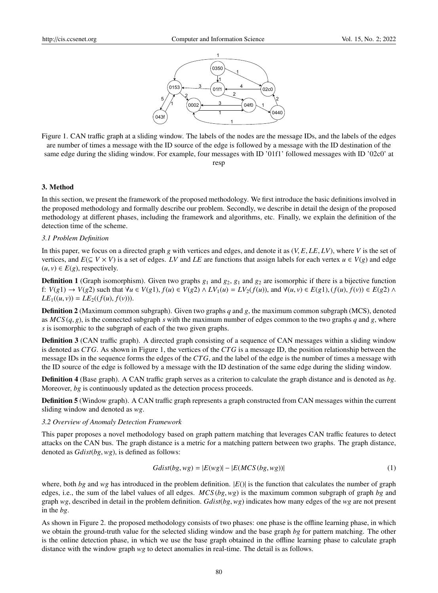

Figure 1. CAN traffic graph at a sliding window. The labels of the nodes are the message IDs, and the labels of the edges are number of times a message with the ID source of the edge is followed by a message with the ID destination of the same edge during the sliding window. For example, four messages with ID '01f1' followed messages with ID '02c0' at

#### resp

#### 3. Method

In this section, we present the framework of the proposed methodology. We first introduce the basic definitions involved in the proposed methodology and formally describe our problem. Secondly, we describe in detail the design of the proposed methodology at different phases, including the framework and algorithms, etc. Finally, we explain the definition of the detection time of the scheme.

#### *3.1 Problem Definition*

In this paper, we focus on a directed graph *<sup>g</sup>* with vertices and edges, and denote it as (*V*, *<sup>E</sup>*, *LE*, *LV*), where *<sup>V</sup>* is the set of vertices, and  $E(\subseteq V \times V)$  is a set of edges. *LV* and *LE* are functions that assign labels for each vertex  $u \in V(g)$  and edge  $(u, v) \in E(g)$ , respectively.

**Definition 1** (Graph isomorphism). Given two graphs  $g_1$  and  $g_2$ ,  $g_1$  and  $g_2$  are isomorphic if there is a bijective function f:  $V(g1) \rightarrow V(g2)$  such that  $\forall u \in V(g1)$ ,  $f(u) \in V(g2) \land LV_1(u) = LV_2(f(u))$ , and  $\forall (u, v) \in E(g1)$ ,  $(f(u), f(v)) \in E(g2) \land LV_2(g(u))$  $LE_1((u, v)) = LE_2((f(u), f(v))).$ 

Definition 2 (Maximum common subgraph). Given two graphs *q* and *g*, the maximum common subgraph (MCS), denoted as  $MCS(q, g)$ , is the connected subgraph *s* with the maximum number of edges common to the two graphs *q* and *g*, where *s* is isomorphic to the subgraph of each of the two given graphs.

Definition 3 (CAN traffic graph). A directed graph consisting of a sequence of CAN messages within a sliding window is denoted as *CTG*. As shown in Figure 1, the vertices of the *CTG* is a message ID, the position relationship between the message IDs in the sequence forms the edges of the *CTG*, and the label of the edge is the number of times a message with the ID source of the edge is followed by a message with the ID destination of the same edge during the sliding window.

Definition 4 (Base graph). A CAN traffic graph serves as a criterion to calculate the graph distance and is denoted as *bg*. Moreover, *bg* is continuously updated as the detection process proceeds.

Definition 5 (Window graph). A CAN traffic graph represents a graph constructed from CAN messages within the current sliding window and denoted as *wg*.

### *3.2 Overview of Anomaly Detection Framework*

This paper proposes a novel methodology based on graph pattern matching that leverages CAN traffic features to detect attacks on the CAN bus. The graph distance is a metric for a matching pattern between two graphs. The graph distance, denoted as *Gdist*(*bg*,*wg*), is defined as follows:

$$
Gdist(bg, wg) = |E(wg)| - |E(MCS(bg, wg))|
$$
\n(1)

where, both *bg* and *wg* has introduced in the problem definition.  $|E()|$  is the function that calculates the number of graph edges, i.e., the sum of the label values of all edges. *MCS* (*bg*,*wg*) is the maximum common subgraph of graph *bg* and graph *wg*, described in detail in the problem definition. *Gdist*(*bg*,*wg*) indicates how many edges of the *wg* are not present in the *bg*.

As shown in Figure 2. the proposed methodology consists of two phases: one phase is the offline learning phase, in which we obtain the ground-truth value for the selected sliding window and the base graph *bg* for pattern matching. The other is the online detection phase, in which we use the base graph obtained in the offline learning phase to calculate graph distance with the window graph *wg* to detect anomalies in real-time. The detail is as follows.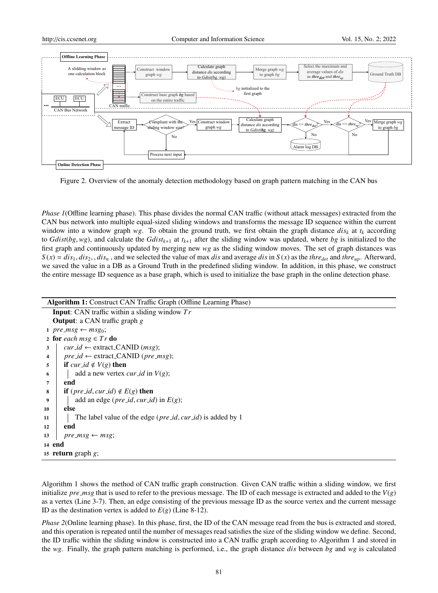

Figure 2. Overview of the anomaly detection methodology based on graph pattern matching in the CAN bus

*Phase 1*(Offline learning phase). This phase divides the normal CAN traffic (without attack messages) extracted from the CAN bus network into multiple equal-sized sliding windows and transforms the message ID sequence within the current window into a window graph  $wg$ . To obtain the ground truth, we first obtain the graph distance  $dis<sub>k</sub>$  at  $t<sub>k</sub>$  according to *Gdist*(*bg*, *wg*), and calculate the *Gdist*<sub>k+1</sub> at  $t_{k+1}$  after the sliding window was updated, where *bg* is initialized to the first graph and continuously updated by merging new *wg* as the sliding window moves. The set of graph distances was  $S(x) = dis_1, dis_2, dis_n$ , and we selected the value of max dis and average dis in  $S(x)$  as the thre<sub>det</sub> and thre<sub>up</sub>. Afterward, we saved the value in a DB as a Ground Truth in the predefined sliding window. In addition, in this phase, we construct the entire message ID sequence as a base graph, which is used to initialize the base graph in the online detection phase.

| Algorithm 1: Construct CAN Traffic Graph (Offline Learning Phase)          |
|----------------------------------------------------------------------------|
| <b>Input:</b> CAN traffic within a sliding window $Tr$                     |
| <b>Output:</b> a CAN traffic graph $g$                                     |
| 1 pre_msg $\leftarrow$ msg <sub>0</sub> ;                                  |
| 2 for each $msg \in Tr$ do                                                 |
| $cur_id \leftarrow$ extract_CANID ( <i>msg</i> );<br>3                     |
| $pre\_id \leftarrow$ extract_CANID ( <i>pre_msg</i> );<br>4                |
| <b>if</b> cur_id $\notin V(g)$ then<br>5                                   |
| add a new vertex <i>cur_id</i> in $V(g)$ ;<br>6                            |
| end<br>7                                                                   |
| <b>if</b> ( <i>pre_id</i> , <i>cur_id</i> ) $\notin E(g)$ <b>then</b><br>8 |
| add an edge ( <i>pre_id</i> , <i>cur_id</i> ) in $E(g)$ ;<br>9             |
| else<br>10                                                                 |
| The label value of the edge ( $pre_id, cur_id$ ) is added by 1<br>11       |
| end<br>12                                                                  |
| 13<br>$pre_m s g \leftarrow m s g;$                                        |
| 14 end                                                                     |
| 15 <b>return</b> graph $g$ ;                                               |

Algorithm 1 shows the method of CAN traffic graph construction. Given CAN traffic within a sliding window, we first initialize *pre msg* that is used to refer to the previous message. The ID of each message is extracted and added to the *V*(*g*) as a vertex (Line 3-7). Then, an edge consisting of the previous message ID as the source vertex and the current message ID as the destination vertex is added to  $E(g)$  (Line 8-12).

*Phase 2*(Online learning phase). In this phase, first, the ID of the CAN message read from the bus is extracted and stored, and this operation is repeated until the number of messages read satisfies the size of the sliding window we define. Second, the ID traffic within the sliding window is constructed into a CAN traffic graph according to Algorithm 1 and stored in the *wg*. Finally, the graph pattern matching is performed, i.e., the graph distance *dis* between *bg* and *wg* is calculated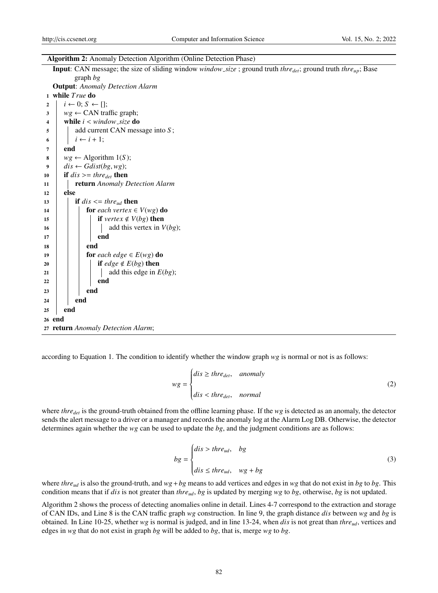|  | Algorithm 2: Anomaly Detection Algorithm (Online Detection Phase) |
|--|-------------------------------------------------------------------|
|  |                                                                   |

| Input: CAN message; the size of sliding window <i>window_size</i> ; ground truth <i>thre<sub>det</sub></i> ; ground truth <i>thre<sub>up</sub></i> ; Base |
|-----------------------------------------------------------------------------------------------------------------------------------------------------------|
| graph $bg$                                                                                                                                                |
| <b>Output:</b> Anomaly Detection Alarm                                                                                                                    |
| 1 while True do                                                                                                                                           |
| $i \leftarrow 0; S \leftarrow []$<br>$\overline{2}$                                                                                                       |
| $wg \leftarrow \text{CAN traffic graph};$<br>3                                                                                                            |
| while $i \leq window\_size$ do<br>4                                                                                                                       |
| add current CAN message into $S$ ;<br>5                                                                                                                   |
| $i \leftarrow i + 1$ ;<br>6                                                                                                                               |
| end<br>7                                                                                                                                                  |
| $wg \leftarrow$ Algorithm 1(S);<br>8                                                                                                                      |
| $dis \leftarrow Gdist(bg, wg);$<br>9                                                                                                                      |
| if $dis \geq t$ thre <sub>det</sub> then<br>10                                                                                                            |
| return Anomaly Detection Alarm<br>11                                                                                                                      |
| else<br>12                                                                                                                                                |
| if $dis \leq thre_{ud}$ then<br>13                                                                                                                        |
| for each vertex $\in V(wg)$ do<br>14                                                                                                                      |
| <b>if</b> vertex $\notin V(bg)$ then<br>15                                                                                                                |
| add this vertex in $V(bg)$ ;<br>16                                                                                                                        |
| end<br>17                                                                                                                                                 |
| end<br>18                                                                                                                                                 |
| for each edge $\in E(wg)$ do<br>19                                                                                                                        |
| if <i>edge</i> $\notin E(bg)$ then<br>20                                                                                                                  |
| add this edge in $E(bg)$ ;<br>21                                                                                                                          |
| end<br>22                                                                                                                                                 |
| end<br>23                                                                                                                                                 |
| end<br>24                                                                                                                                                 |
| end<br>25                                                                                                                                                 |
| 26 end                                                                                                                                                    |
| 27 return Anomaly Detection Alarm;                                                                                                                        |
|                                                                                                                                                           |

according to Equation 1. The condition to identify whether the window graph *wg* is normal or not is as follows:

$$
wg = \begin{cases} dis \geq three_{det}, & anomaly \\ dis < three_{det}, &normal \end{cases} \tag{2}
$$

where *thre<sub>det</sub>* is the ground-truth obtained from the offline learning phase. If the *wg* is detected as an anomaly, the detector sends the alert message to a driver or a manager and records the anomaly log at the Alarm Log DB. Otherwise, the detector determines again whether the *wg* can be used to update the *bg*, and the judgment conditions are as follows:

$$
bg = \begin{cases} dis > three_{ud}, & bg\\ dis \leq three_{ud}, & wg + bg \end{cases} \tag{3}
$$

where *threud* is also the ground-truth, and *wg*+*bg* means to add vertices and edges in *wg* that do not exist in *bg* to *bg*. This condition means that if *dis* is not greater than *threud*, *bg* is updated by merging *wg* to *bg*, otherwise, *bg* is not updated.

Algorithm 2 shows the process of detecting anomalies online in detail. Lines 4-7 correspond to the extraction and storage of CAN IDs, and Line 8 is the CAN traffic graph *wg* construction. In line 9, the graph distance *dis* between *wg* and *bg* is obtained. In Line 10-25, whether *wg* is normal is judged, and in line 13-24, when *dis* is not great than *threud*, vertices and edges in *wg* that do not exist in graph *bg* will be added to *bg*, that is, merge *wg* to *bg*.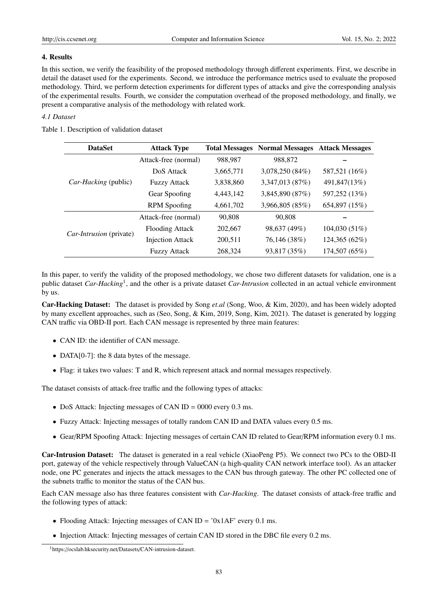## 4. Results

In this section, we verify the feasibility of the proposed methodology through different experiments. First, we describe in detail the dataset used for the experiments. Second, we introduce the performance metrics used to evaluate the proposed methodology. Third, we perform detection experiments for different types of attacks and give the corresponding analysis of the experimental results. Fourth, we consider the computation overhead of the proposed methodology, and finally, we present a comparative analysis of the methodology with related work.

# *4.1 Dataset*

Table 1. Description of validation dataset

| <b>DataSet</b>          | <b>Attack Type</b>      |           | <b>Total Messages Normal Messages</b> | <b>Attack Messages</b> |
|-------------------------|-------------------------|-----------|---------------------------------------|------------------------|
|                         | Attack-free (normal)    | 988,987   | 988,872                               |                        |
| Car-Hacking (public)    | DoS Attack              | 3,665,771 | 3,078,250 (84%)                       | 587,521 (16%)          |
|                         | <b>Fuzzy Attack</b>     | 3,838,860 | 3,347,013 (87%)                       | 491,847(13%)           |
|                         | Gear Spoofing           | 4,443,142 | 3,845,890 (87%)                       | 597,252 (13%)          |
|                         | <b>RPM</b> Spoofing     | 4,661,702 | 3,966,805 (85%)                       | 654,897 (15%)          |
|                         | Attack-free (normal)    | 90,808    | 90.808                                |                        |
| Car-Intrusion (private) | <b>Flooding Attack</b>  | 202,667   | 98,637 (49%)                          | 104,030 (51%)          |
|                         | <b>Injection Attack</b> | 200,511   | 76,146 (38%)                          | 124,365 (62%)          |
|                         | <b>Fuzzy Attack</b>     | 268,324   | 93,817 (35%)                          | 174,507 (65%)          |

In this paper, to verify the validity of the proposed methodology, we chose two different datasets for validation, one is a public dataset *Car-Hacking*<sup>1</sup> , and the other is a private dataset *Car-Intrusion* collected in an actual vehicle environment by us.

Car-Hacking Dataset: The dataset is provided by Song *et.al* (Song, Woo, & Kim, 2020), and has been widely adopted by many excellent approaches, such as (Seo, Song, & Kim, 2019, Song, Kim, 2021). The dataset is generated by logging CAN traffic via OBD-II port. Each CAN message is represented by three main features:

- CAN ID: the identifier of CAN message.
- DATA[0-7]: the 8 data bytes of the message.
- Flag: it takes two values: T and R, which represent attack and normal messages respectively.

The dataset consists of attack-free traffic and the following types of attacks:

- DoS Attack: Injecting messages of CAN ID = 0000 every 0.3 ms.
- Fuzzy Attack: Injecting messages of totally random CAN ID and DATA values every 0.5 ms.
- Gear/RPM Spoofing Attack: Injecting messages of certain CAN ID related to Gear/RPM information every 0.1 ms.

Car-Intrusion Dataset: The dataset is generated in a real vehicle (XiaoPeng P5). We connect two PCs to the OBD-II port, gateway of the vehicle respectively through ValueCAN (a high-quality CAN network interface tool). As an attacker node, one PC generates and injects the attack messages to the CAN bus through gateway. The other PC collected one of the subnets traffic to monitor the status of the CAN bus.

Each CAN message also has three features consistent with *Car-Hacking*. The dataset consists of attack-free traffic and the following types of attack:

- Flooding Attack: Injecting messages of CAN ID =  $'0x1AF'$  every 0.1 ms.
- Injection Attack: Injecting messages of certain CAN ID stored in the DBC file every 0.2 ms.

<sup>1</sup>https://ocslab.hksecurity.net/Datasets/CAN-intrusion-dataset.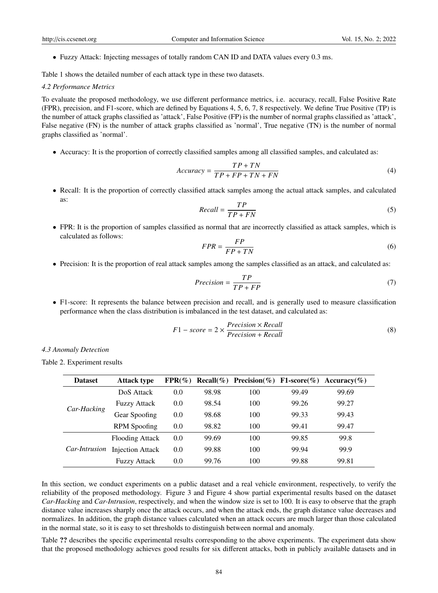• Fuzzy Attack: Injecting messages of totally random CAN ID and DATA values every 0.3 ms.

Table 1 shows the detailed number of each attack type in these two datasets.

### *4.2 Performance Metrics*

To evaluate the proposed methodology, we use different performance metrics, i.e. accuracy, recall, False Positive Rate (FPR), precision, and F1-score, which are defined by Equations 4, 5, 6, 7, 8 respectively. We define True Positive (TP) is the number of attack graphs classified as 'attack', False Positive (FP) is the number of normal graphs classified as 'attack', False negative (FN) is the number of attack graphs classified as 'normal', True negative (TN) is the number of normal graphs classified as 'normal'.

• Accuracy: It is the proportion of correctly classified samples among all classified samples, and calculated as:

$$
Accuracy = \frac{TP + TN}{TP + FP + TN + FN}
$$
\n<sup>(4)</sup>

• Recall: It is the proportion of correctly classified attack samples among the actual attack samples, and calculated as:

$$
Recall = \frac{TP}{TP + FN} \tag{5}
$$

• FPR: It is the proportion of samples classified as normal that are incorrectly classified as attack samples, which is calculated as follows:

$$
FPR = \frac{FP}{FP + TN} \tag{6}
$$

• Precision: It is the proportion of real attack samples among the samples classified as an attack, and calculated as:

$$
Precision = \frac{TP}{TP + FP}
$$
 (7)

• F1-score: It represents the balance between precision and recall, and is generally used to measure classification performance when the class distribution is imbalanced in the test dataset, and calculated as:

$$
F1-score = 2 \times \frac{Precision \times Recall}{Precision + Recall}
$$
 (8)

*4.3 Anomaly Detection*

Table 2. Experiment results

| <b>Dataset</b>       | <b>Attack type</b>      | $FPR(\%)$ |       | Recall(%) Precision(%) F1-score(%) Accuracy(%) |       |       |
|----------------------|-------------------------|-----------|-------|------------------------------------------------|-------|-------|
| Car-Hacking          | DoS Attack              | 0.0       | 98.98 | 100                                            | 99.49 | 99.69 |
|                      | <b>Fuzzy Attack</b>     | 0.0       | 98.54 | 100                                            | 99.26 | 99.27 |
|                      | Gear Spoofing           | 0.0       | 98.68 | 100                                            | 99.33 | 99.43 |
|                      | <b>RPM</b> Spoofing     | 0.0       | 98.82 | 100                                            | 99.41 | 99.47 |
| <i>Car-Intrusion</i> | <b>Flooding Attack</b>  | 0.0       | 99.69 | 100                                            | 99.85 | 99.8  |
|                      | <b>Injection Attack</b> | 0.0       | 99.88 | 100                                            | 99.94 | 99.9  |
|                      | <b>Fuzzy Attack</b>     | 0.0       | 99.76 | 100                                            | 99.88 | 99.81 |

In this section, we conduct experiments on a public dataset and a real vehicle environment, respectively, to verify the reliability of the proposed methodology. Figure 3 and Figure 4 show partial experimental results based on the dataset *Car-Hacking* and *Car-Intrusion*, respectively, and when the window size is set to 100. It is easy to observe that the graph distance value increases sharply once the attack occurs, and when the attack ends, the graph distance value decreases and normalizes. In addition, the graph distance values calculated when an attack occurs are much larger than those calculated in the normal state, so it is easy to set thresholds to distinguish between normal and anomaly.

Table ?? describes the specific experimental results corresponding to the above experiments. The experiment data show that the proposed methodology achieves good results for six different attacks, both in publicly available datasets and in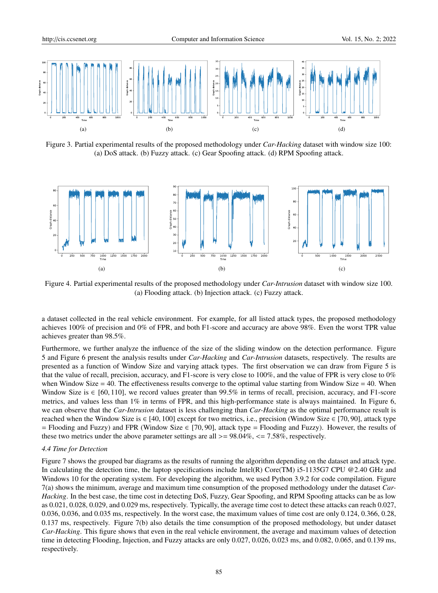

Figure 3. Partial experimental results of the proposed methodology under *Car-Hacking* dataset with window size 100: (a) DoS attack. (b) Fuzzy attack. (c) Gear Spoofing attack. (d) RPM Spoofing attack.



Figure 4. Partial experimental results of the proposed methodology under *Car-Intrusion* dataset with window size 100. (a) Flooding attack. (b) Injection attack. (c) Fuzzy attack.

a dataset collected in the real vehicle environment. For example, for all listed attack types, the proposed methodology achieves 100% of precision and 0% of FPR, and both F1-score and accuracy are above 98%. Even the worst TPR value achieves greater than 98.5%.

Furthermore, we further analyze the influence of the size of the sliding window on the detection performance. Figure 5 and Figure 6 present the analysis results under *Car-Hacking* and *Car-Intrusion* datasets, respectively. The results are presented as a function of Window Size and varying attack types. The first observation we can draw from Figure 5 is that the value of recall, precision, accuracy, and F1-score is very close to 100%, and the value of FPR is very close to 0% when Window Size  $= 40$ . The effectiveness results converge to the optimal value starting from Window Size  $= 40$ . When Window Size is  $\in$  [60, 110], we record values greater than 99.5% in terms of recall, precision, accuracy, and F1-score metrics, and values less than 1% in terms of FPR, and this high-performance state is always maintained. In Figure 6, we can observe that the *Car-Intrusion* dataset is less challenging than *Car-Hacking* as the optimal performance result is reached when the Window Size is  $\in$  [40, 100] except for two metrics, i.e., precision (Window Size  $\in$  [70, 90], attack type <sup>=</sup> Flooding and Fuzzy) and FPR (Window Size <sup>∈</sup> [70, 90], attack type <sup>=</sup> Flooding and Fuzzy). However, the results of these two metrics under the above parameter settings are all  $>= 98.04\%$ ,  $<= 7.58\%$ , respectively.

#### *4.4 Time for Detection*

Figure 7 shows the grouped bar diagrams as the results of running the algorithm depending on the dataset and attack type. In calculating the detection time, the laptop specifications include Intel(R) Core(TM) i5-1135G7 CPU @2.40 GHz and Windows 10 for the operating system. For developing the algorithm, we used Python 3.9.2 for code compilation. Figure 7(a) shows the minimum, average and maximum time consumption of the proposed methodology under the dataset *Car-Hacking*. In the best case, the time cost in detecting DoS, Fuzzy, Gear Spoofing, and RPM Spoofing attacks can be as low as 0.021, 0.028, 0.029, and 0.029 ms, respectively. Typically, the average time cost to detect these attacks can reach 0.027, 0.036, 0.036, and 0.035 ms, respectively. In the worst case, the maximum values of time cost are only 0.124, 0.366, 0.28, 0.137 ms, respectively. Figure 7(b) also details the time consumption of the proposed methodology, but under dataset *Car-Hacking*. This figure shows that even in the real vehicle environment, the average and maximum values of detection time in detecting Flooding, Injection, and Fuzzy attacks are only 0.027, 0.026, 0.023 ms, and 0.082, 0.065, and 0.139 ms, respectively.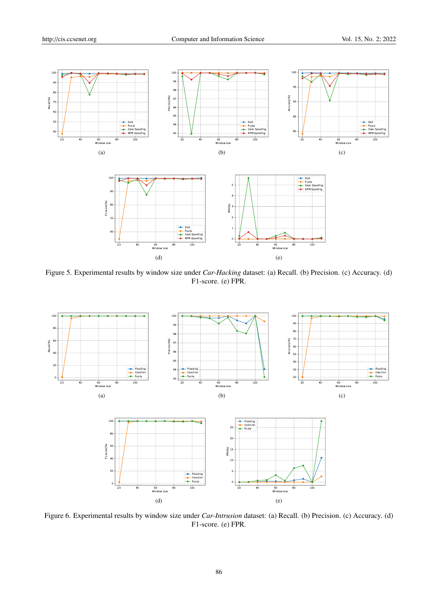

Figure 5. Experimental results by window size under *Car-Hacking* dataset: (a) Recall. (b) Precision. (c) Accuracy. (d) F1-score. (e) FPR.



Figure 6. Experimental results by window size under *Car-Intrusion* dataset: (a) Recall. (b) Precision. (c) Accuracy. (d) F1-score. (e) FPR.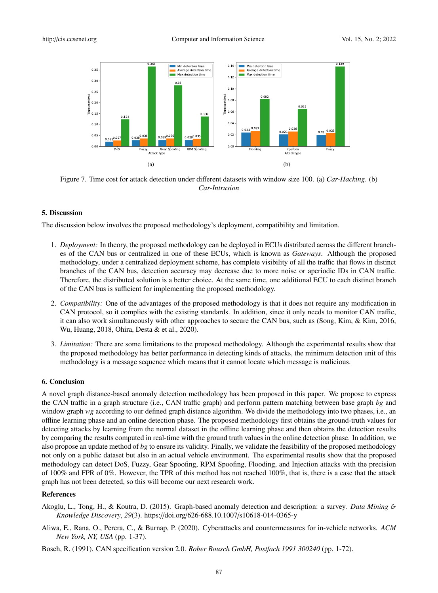

Figure 7. Time cost for attack detection under different datasets with window size 100. (a) *Car-Hacking*. (b) *Car-Intrusion*

## 5. Discussion

The discussion below involves the proposed methodology's deployment, compatibility and limitation.

- 1. *Deployment:* In theory, the proposed methodology can be deployed in ECUs distributed across the different branches of the CAN bus or centralized in one of these ECUs, which is known as *Gateways*. Although the proposed methodology, under a centralized deployment scheme, has complete visibility of all the traffic that flows in distinct branches of the CAN bus, detection accuracy may decrease due to more noise or aperiodic IDs in CAN traffic. Therefore, the distributed solution is a better choice. At the same time, one additional ECU to each distinct branch of the CAN bus is sufficient for implementing the proposed methodology.
- 2. *Compatibility:* One of the advantages of the proposed methodology is that it does not require any modification in CAN protocol, so it complies with the existing standards. In addition, since it only needs to monitor CAN traffic, it can also work simultaneously with other approaches to secure the CAN bus, such as (Song, Kim, & Kim, 2016, Wu, Huang, 2018, Ohira, Desta & et al., 2020).
- 3. *Limitation:* There are some limitations to the proposed methodology. Although the experimental results show that the proposed methodology has better performance in detecting kinds of attacks, the minimum detection unit of this methodology is a message sequence which means that it cannot locate which message is malicious.

## 6. Conclusion

A novel graph distance-based anomaly detection methodology has been proposed in this paper. We propose to express the CAN traffic in a graph structure (i.e., CAN traffic graph) and perform pattern matching between base graph *bg* and window graph *wg* according to our defined graph distance algorithm. We divide the methodology into two phases, i.e., an offline learning phase and an online detection phase. The proposed methodology first obtains the ground-truth values for detecting attacks by learning from the normal dataset in the offline learning phase and then obtains the detection results by comparing the results computed in real-time with the ground truth values in the online detection phase. In addition, we also propose an update method of *bg* to ensure its validity. Finally, we validate the feasibility of the proposed methodology not only on a public dataset but also in an actual vehicle environment. The experimental results show that the proposed methodology can detect DoS, Fuzzy, Gear Spoofing, RPM Spoofing, Flooding, and Injection attacks with the precision of 100% and FPR of 0%. However, the TPR of this method has not reached 100%, that is, there is a case that the attack graph has not been detected, so this will become our next research work.

## References

- Akoglu, L., Tong, H., & Koutra, D. (2015). Graph-based anomaly detection and description: a survey. *Data Mining* & *Knowledge Discovery*, *29*(3). https://doi.org/626-688.10.1007/s10618-014-0365-y
- Aliwa, E., Rana, O., Perera, C., & Burnap, P. (2020). Cyberattacks and countermeasures for in-vehicle networks. *ACM New York, NY, USA* (pp. 1-37).

Bosch, R. (1991). CAN specification version 2.0. *Rober Bousch GmbH, Postfach 1991 300240* (pp. 1-72).